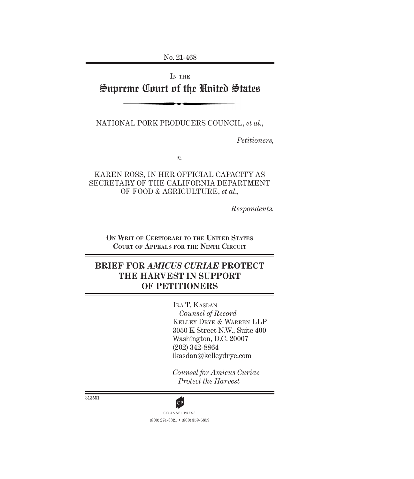No. 21-468

# IN THE Supreme Court of the United States

NATIONAL PORK PRODUCERS COUNCIL, *et al*.,

*Petitioners,*

*v.*

KAREN ROSS, IN HER OFFICIAL CAPACITY AS SECRETARY OF THE CALIFORNIA DEPARTMENT OF FOOD & AGRICULTURE, *et al*.,

*Respondents.*

**On Writ of Certiorari to the United States Court of Appeals for the Ninth Circuit**

# **BRIEF FOR** *AMICUS CURIAE* **PROTECT THE HARVEST IN SUPPORT OF PETITIONERS**

Ira T. Kasdan *Counsel of Record* Kelley Drye & Warren LLP 3050 K Street N.W., Suite 400 Washington, D.C. 20007 (202) 342-8864 ikasdan@kelleydrye.com

*Counsel for Amicus Curiae Protect the Harvest*

313551



(800) 274-3321 • (800) 359-6859 CP<br>COUNSEL PRESS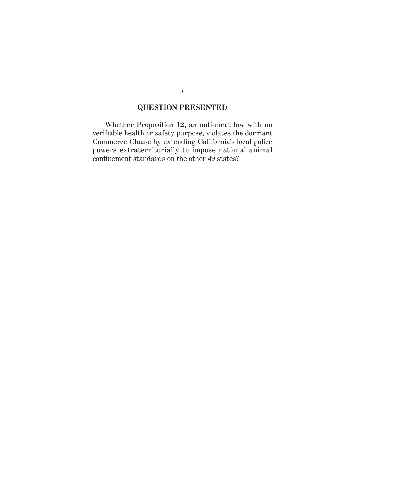## **QUESTION PRESENTED**

<span id="page-1-0"></span>Whether Proposition 12, an anti-meat law with no verifiable health or safety purpose, violates the dormant Commerce Clause by extending California's local police powers extraterritorially to impose national animal confinement standards on the other 49 states?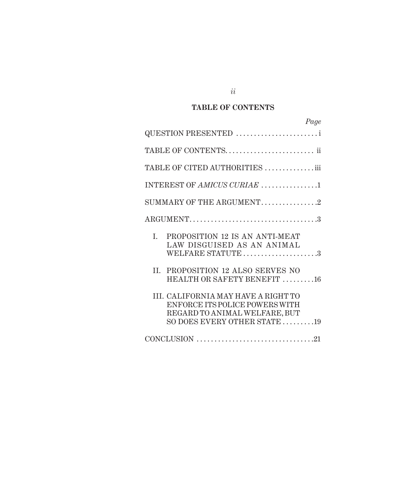# **TABLE OF CONTENTS**

| Page                                                                                                                                                     |
|----------------------------------------------------------------------------------------------------------------------------------------------------------|
| QUESTION PRESENTED                                                                                                                                       |
|                                                                                                                                                          |
| TABLE OF CITED AUTHORITIES iii                                                                                                                           |
| INTEREST OF AMICUS CURIAE 1                                                                                                                              |
| SUMMARY OF THE ARGUMENT2                                                                                                                                 |
|                                                                                                                                                          |
| I.<br>PROPOSITION 12 IS AN ANTI-MEAT<br>LAW DISGUISED AS AN ANIMAL<br>WELFARE STATUTE 3                                                                  |
| PROPOSITION 12 ALSO SERVES NO<br>II.<br>HEALTH OR SAFETY BENEFIT 16                                                                                      |
| III. CALIFORNIA MAY HAVE A RIGHT TO<br>ENFORCE ITS POLICE POWERS WITH<br>REGARD TO ANIMAL WELFARE, BUT<br>SO DOES EVERY OTHER STATE $\dots\dots\dots$ 19 |
|                                                                                                                                                          |

*ii*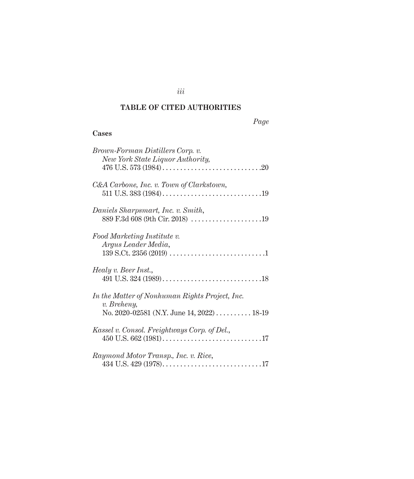## **TABLE OF CITED AUTHORITIES**

*iii*

## **Cases**

| Brown-Forman Distillers Corp. v.<br>New York State Liquor Authority,                                        |
|-------------------------------------------------------------------------------------------------------------|
| C&A Carbone, Inc. v. Town of Clarkstown,                                                                    |
| Daniels Sharpsmart, Inc. v. Smith,<br>889 F.3d 608 (9th Cir. 2018) 19                                       |
| Food Marketing Institute v.<br>Argus Leader Media,                                                          |
| Healy v. Beer Inst.,                                                                                        |
| In the Matter of Nonhuman Rights Project, Inc.<br>v. Breheny,<br>No. 2020-02581 (N.Y. June 14, 2022)  18-19 |
| Kassel v. Consol. Freightways Corp. of Del.,                                                                |
| Raymond Motor Transp., Inc. v. Rice,                                                                        |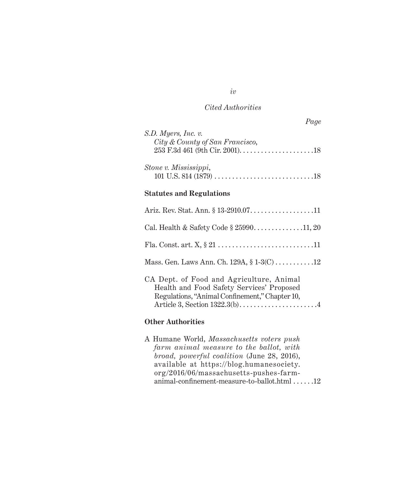*Page*

| S.D. Myers, Inc. v.<br>City & County of San Francisco,                                                                                  |
|-----------------------------------------------------------------------------------------------------------------------------------------|
| Stone v. Mississippi,                                                                                                                   |
| <b>Statutes and Regulations</b>                                                                                                         |
|                                                                                                                                         |
| Cal. Health & Safety Code § 2599011, 20                                                                                                 |
|                                                                                                                                         |
| Mass. Gen. Laws Ann. Ch. 129A, § 1-3(C) 12                                                                                              |
| CA Dept. of Food and Agriculture, Animal<br>Health and Food Safety Services' Proposed<br>Regulations, "Animal Confinement," Chapter 10, |

#### **Other Authorities**

A Humane World, *Massachusetts voters push farm animal measure to the ballot, with broad, powerful coalition* (June 28, 2016), available at [https://blog.humanesociety.](https://blog.humanesociety.org/2016/06/massachusetts-pushes-farm-animal-confinement-measure-to-ballot.html) [org/2016/06/massachusetts-pushes-farm](https://blog.humanesociety.org/2016/06/massachusetts-pushes-farm-animal-confinement-measure-to-ballot.html)[animal-confinement-measure-to-ballot.html](https://blog.humanesociety.org/2016/06/massachusetts-pushes-farm-animal-confinement-measure-to-ballot.html)  $\dots$ ...12

*iv*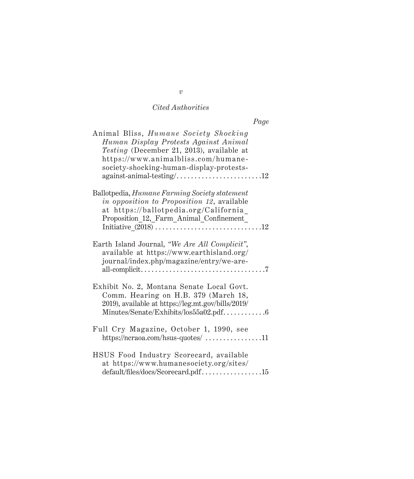| Animal Bliss, Humane Society Shocking<br>Human Display Protests Against Animal<br>Testing (December 21, 2013), available at<br>https://www.animalbliss.com/humane-<br>society-shocking-human-display-protests-<br>$against-animal-testing/\dots \dots \dots \dots \dots \dots \dots \dots \dots 12$ |
|-----------------------------------------------------------------------------------------------------------------------------------------------------------------------------------------------------------------------------------------------------------------------------------------------------|
| Ballotpedia, <i>Humane Farming Society statement</i><br>in opposition to Proposition 12, available<br>at https://ballotpedia.org/California<br>Proposition 12, Farm Animal Confinement                                                                                                              |
| Earth Island Journal, "We Are All Complicit",<br>available at https://www.earthisland.org/<br>journal/index.php/magazine/entry/we-are-                                                                                                                                                              |
| Exhibit No. 2, Montana Senate Local Govt.<br>Comm. Hearing on H.B. 379 (March 18,<br>2019), available at https://leg.mt.gov/bills/2019/                                                                                                                                                             |
| Full Cry Magazine, October 1, 1990, see<br>$\frac{https://ncraoa.com/hsus-quotes/$ 11                                                                                                                                                                                                               |
| HSUS Food Industry Scorecard, available<br>at https://www.humanesociety.org/sites/<br>default/files/docs/Scorecard.pdf15                                                                                                                                                                            |

*v*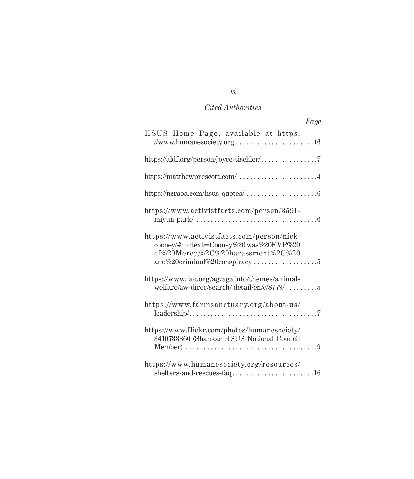| Page                                                                                                                                                                                              |
|---------------------------------------------------------------------------------------------------------------------------------------------------------------------------------------------------|
| HSUS Home Page, available at https:<br>//www.humanesociety.org 16                                                                                                                                 |
|                                                                                                                                                                                                   |
| https://matthewprescott.com/ $\ldots\ldots\ldots\ldots\ldots\ldots\ldots\ldots\ldots\ldots$                                                                                                       |
|                                                                                                                                                                                                   |
| https://www.activistfacts.com/person/3591-                                                                                                                                                        |
| https://www.activistfacts.com/person/nick-<br>cooney/#:~:text=Cooney%20 was%20EVP%20<br>of%20Mercy,%2C%20harassment%2C%20<br>and%20criminal%20conspiracy5                                         |
| https://www.fao.org/ag/againfo/themes/animal-<br>welfare/aw-direc/search/ detail/en/c/8779/5                                                                                                      |
| https://www.farmsanctuary.org/about-us/                                                                                                                                                           |
| https://www.flickr.com/photos/humanesociety/<br>3410733860 (Shankar HSUS National Council<br>Member) $\ldots \ldots \ldots \ldots \ldots \ldots \ldots \ldots \ldots \ldots \ldots \ldots \ldots$ |
| https://www.humanesociety.org/resources/<br>shelters-and-rescues-faq16                                                                                                                            |

*vi*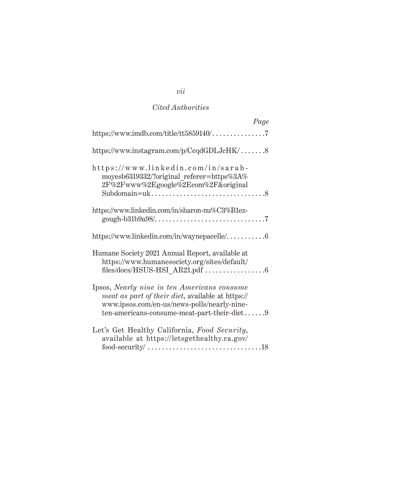| Page                                                                                                                                                                                                  |
|-------------------------------------------------------------------------------------------------------------------------------------------------------------------------------------------------------|
| https://www.imdb.com/title/tt5859140/7                                                                                                                                                                |
| https://www.instagram.com/p/CcqdGDLJcHK/8                                                                                                                                                             |
| https://www.linkedin.com/in/sarah-<br>moyesb6319332/?original referer=https%3A%<br>2F%2Fwww%2Egoogle%2Ecom%2F&original                                                                                |
| https://www.linkedin.com/in/sharon-nu%C3%B1ez-                                                                                                                                                        |
| https://www.linkedin.com/in/waynepacelle/6                                                                                                                                                            |
| Humane Society 2021 Annual Report, available at<br>https://www.humanesociety.org/sites/default/                                                                                                       |
| Ipsos, Nearly nine in ten Americans consume<br><i>meat as part of their diet, available at https://</i><br>www.ipsos.com/en-us/news-polls/nearly-nine-<br>ten-americans-consume-meat-part-their-diet9 |
| Let's Get Healthy California, Food Security,<br>available at https://letsgethealthy.ca.gov/                                                                                                           |

# *vii*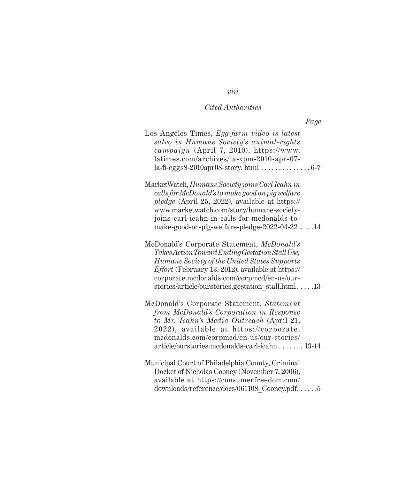*Page*

| Los Angeles Times, Egg-farm video is latest<br>salvo in Humane Society's animal-rights<br>campaign (April 7, 2010), https://www.<br>latimes.com/archives/la-xpm-2010-apr-07-<br>$la$ -fi-eggs8-2010apr08-story.html $\ldots \ldots \ldots \ldots 6$ -7                                                     |
|------------------------------------------------------------------------------------------------------------------------------------------------------------------------------------------------------------------------------------------------------------------------------------------------------------|
| MarketWatch, Humane Society joins Carl Icahn in<br>calls for McDonald's to make good on pig welfare<br>pledge (April 25, 2022), available at https://<br>www.marketwatch.com/story/humane-society-<br>joins-carl-icahn-in-calls-for-medonalds-to-<br>make-good-on-pig-welfare-pledge-2022-04-22 $\dots$ 14 |
| McDonald's Corporate Statement, McDonald's<br>Takes Action Toward Ending Gestation Stall Use;<br>Humane Society of the United States Supports<br>Effort (February 13, 2012), available at https://<br>corporate.mcdonalds.com/corpmcd/en-us/our-<br>stories/article/ourstories.gestation stall.html13      |
| McDonald's Corporate Statement, Statement<br>from McDonald's Corporation in Response<br>to Mr. Icahn's Media Outreach (April 21,<br>2022), available at https://corporate.<br>mcdonalds.com/corpmcd/en-us/our-stories/<br>article/ourstories.mcdonalds-carl-icahn 13-14                                    |
| Municipal Court of Philadelphia County, Criminal<br>Docket of Nicholas Cooney (November 7, 2006),<br>available at https://consumerfreedom.com/<br>downloads/reference/docs/061108 Cooney.pdf5                                                                                                              |

*viii*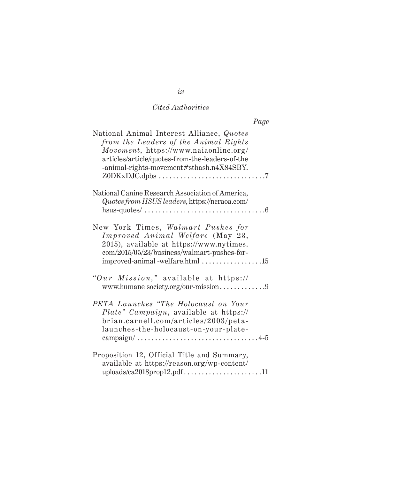| National Animal Interest Alliance, Quotes<br>from the Leaders of the Animal Rights<br>Movement, https://www.naiaonline.org/<br>articles/article/quotes-from-the-leaders-of-the<br>-animal-rights-movement#sthash.n4X84SBY. |
|----------------------------------------------------------------------------------------------------------------------------------------------------------------------------------------------------------------------------|
| National Canine Research Association of America,<br>Quotes from HSUS leaders, https://ncraoa.com/<br>hsus-quotes/ $\dots\dots\dots\dots\dots\dots\dots\dots\dots\dots\dots\dots\dots$                                      |
| New York Times, Walmart Pushes for<br>Improved Animal Welfare (May 23,<br>2015), available at https://www.nytimes.<br>com/2015/05/23/business/walmart-pushes-for-<br>improved-animal-welfare.html 15                       |
| "Our Mission," available at https://                                                                                                                                                                                       |
| PETA Launches "The Holocaust on Your<br>Plate" Campaign, available at https://<br>brian.carnell.com/articles/2003/peta-<br>launches-the-holocaust-on-your-plate-                                                           |
| Proposition 12, Official Title and Summary,<br>available at https://reason.org/wp-content/                                                                                                                                 |

*ix*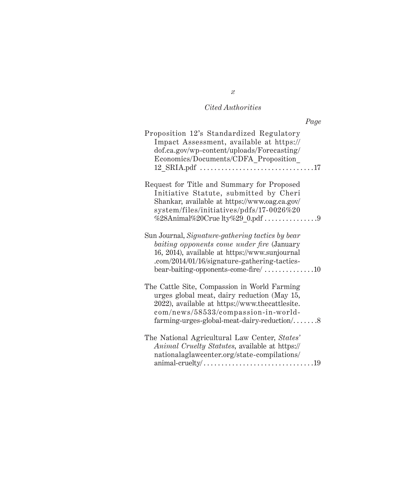| Page                                                                                                                                                                                                                                                            |  |
|-----------------------------------------------------------------------------------------------------------------------------------------------------------------------------------------------------------------------------------------------------------------|--|
| Proposition 12's Standardized Regulatory<br>Impact Assessment, available at https://<br>dof.ca.gov/wp-content/uploads/Forecasting/<br>Economics/Documents/CDFA_Proposition_                                                                                     |  |
| Request for Title and Summary for Proposed<br>Initiative Statute, submitted by Cheri<br>Shankar, available at https://www.oag.ca.gov/<br>system/files/initiatives/pdfs/17-0026%20                                                                               |  |
| Sun Journal, Signature-gathering tactics by bear<br>baiting opponents come under fire (January<br>16, 2014), available at https://www.sunjournal<br>.com/2014/01/16/signature-gathering-tactics-<br>bear-baiting-opponents-come-fire/ $\dots\dots\dots\dots 10$ |  |
| The Cattle Site, Compassion in World Farming<br>urges global meat, dairy reduction (May 15,<br>2022), available at https://www.thecattlesite.<br>com/news/58533/compassion-in-world-<br>farming-urges-global-meat-dairy-reduction/8                             |  |
| The National Agricultural Law Center, States'<br>Animal Cruelty Statutes, available at https://<br>nationalaglawcenter.org/state-compilations/<br>animal-cruelty/ $\dots\dots\dots\dots\dots\dots\dots\dots\dots\dots\dots\dots$                                |  |

*x*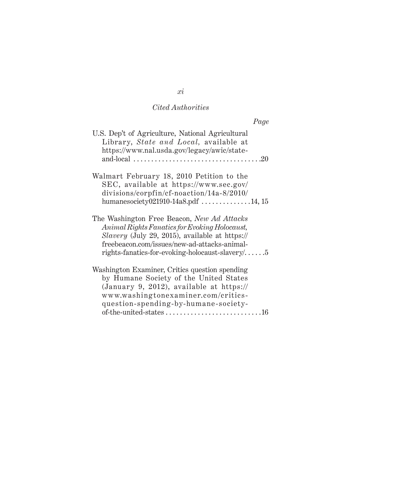| Page                                                                                                                                                                                                                                                      |  |
|-----------------------------------------------------------------------------------------------------------------------------------------------------------------------------------------------------------------------------------------------------------|--|
| U.S. Dep't of Agriculture, National Agricultural<br>Library, State and Local, available at<br>https://www.nal.usda.gov/legacy/awic/state-<br>and-local $\ldots \ldots \ldots \ldots \ldots \ldots \ldots \ldots \ldots \ldots \ldots \ldots \ldots$       |  |
| Walmart February 18, 2010 Petition to the<br>SEC, available at https://www.sec.gov/<br>divisions/corpfin/cf-noaction/14a-8/2010/<br>humanesociety021910-14a8.pdf $\dots\dots\dots\dots 14, 15$                                                            |  |
| The Washington Free Beacon, New Ad Attacks<br>Animal Rights Fanatics for Evoking Holocaust,<br>Slavery (July 29, 2015), available at https://<br>freebeacon.com/issues/new-ad-attacks-animal-<br>rights-fanatics-for-evoking-holocaust-slavery/ $\dots$ . |  |
| Washington Examiner, Critics question spending<br>by Humane Society of the United States<br>(January 9, 2012), available at $\frac{https://}{?}$<br>www.washingtonexaminer.com/critics-<br>question-spending-by-humane-society-                           |  |

*xi*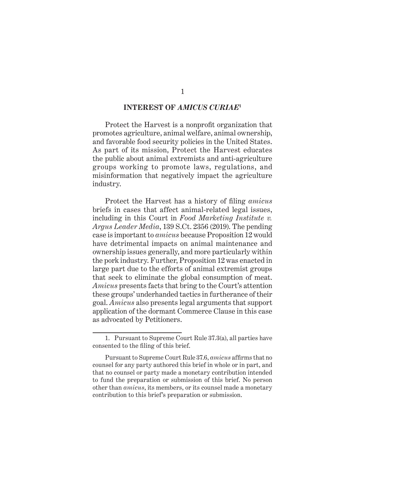#### **INTEREST OF** *AMICUS CURIAE***<sup>1</sup>**

<span id="page-12-0"></span>Protect the Harvest is a nonprofit organization that promotes agriculture, animal welfare, animal ownership, and favorable food security policies in the United States. As part of its mission, Protect the Harvest educates the public about animal extremists and anti-agriculture groups working to promote laws, regulations, and misinformation that negatively impact the agriculture industry.

Protect the Harvest has a history of filing *amicus* briefs in cases that affect animal-related legal issues, including in this Court in *Food Marketing Institute v. Argus Leader Media*, 139 S.Ct. 2356 (2019). The pending case is important to *amicus* because Proposition 12 would have detrimental impacts on animal maintenance and ownership issues generally, and more particularly within the pork industry. Further, Proposition 12 was enacted in large part due to the efforts of animal extremist groups that seek to eliminate the global consumption of meat. *Amicus* presents facts that bring to the Court's attention these groups' underhanded tactics in furtherance of their goal. *Amicus* also presents legal arguments that support application of the dormant Commerce Clause in this case as advocated by Petitioners.

<sup>1.</sup> Pursuant to Supreme Court Rule 37.3(a), all parties have consented to the filing of this brief.

Pursuant to Supreme Court Rule 37.6, *amicus* affirms that no counsel for any party authored this brief in whole or in part, and that no counsel or party made a monetary contribution intended to fund the preparation or submission of this brief. No person other than *amicus*, its members, or its counsel made a monetary contribution to this brief's preparation or submission.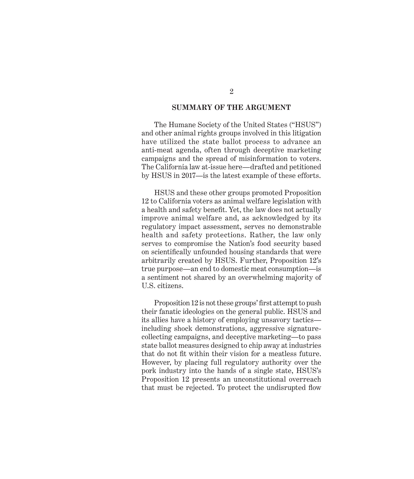#### **SUMMARY OF THE ARGUMENT**

<span id="page-13-0"></span>The Humane Society of the United States ("HSUS") and other animal rights groups involved in this litigation have utilized the state ballot process to advance an anti-meat agenda, often through deceptive marketing campaigns and the spread of misinformation to voters. The California law at-issue here—drafted and petitioned by HSUS in 2017—is the latest example of these efforts.

HSUS and these other groups promoted Proposition 12 to California voters as animal welfare legislation with a health and safety benefit. Yet, the law does not actually improve animal welfare and, as acknowledged by its regulatory impact assessment, serves no demonstrable health and safety protections. Rather, the law only serves to compromise the Nation's food security based on scientifically unfounded housing standards that were arbitrarily created by HSUS. Further, Proposition 12's true purpose—an end to domestic meat consumption—is a sentiment not shared by an overwhelming majority of U.S. citizens.

Proposition 12 is not these groups' first attempt to push their fanatic ideologies on the general public. HSUS and its allies have a history of employing unsavory tactics including shock demonstrations, aggressive signaturecollecting campaigns, and deceptive marketing—to pass state ballot measures designed to chip away at industries that do not fit within their vision for a meatless future. However, by placing full regulatory authority over the pork industry into the hands of a single state, HSUS's Proposition 12 presents an unconstitutional overreach that must be rejected. To protect the undisrupted flow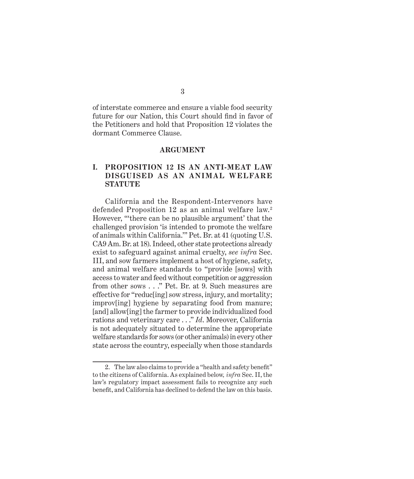<span id="page-14-0"></span>of interstate commerce and ensure a viable food security future for our Nation, this Court should find in favor of the Petitioners and hold that Proposition 12 violates the dormant Commerce Clause.

#### **ARGUMENT**

#### **I. PROPOSITION 12 IS AN ANTI-MEAT LAW DISGUISED AS AN ANIMAL WELFARE STATUTE**

California and the Respondent-Intervenors have defended Proposition 12 as an animal welfare law.<sup>2</sup> However, "'there can be no plausible argument' that the challenged provision 'is intended to promote the welfare of animals within California.'" Pet. Br. at 41 (quoting U.S. CA9 Am. Br. at 18). Indeed, other state protections already exist to safeguard against animal cruelty, *see infra* Sec. III, and sow farmers implement a host of hygiene, safety, and animal welfare standards to "provide [sows] with access to water and feed without competition or aggression from other sows . . ." Pet. Br. at 9. Such measures are effective for "reduc[ing] sow stress, injury, and mortality; improv[ing] hygiene by separating food from manure; [and] allow[ing] the farmer to provide individualized food rations and veterinary care . . ." *Id*. Moreover, California is not adequately situated to determine the appropriate welfare standards for sows (or other animals) in every other state across the country, especially when those standards

<sup>2.</sup> The law also claims to provide a "health and safety benefit" to the citizens of California. As explained below*, infra* Sec. II, the law's regulatory impact assessment fails to recognize any such benefit, and California has declined to defend the law on this basis.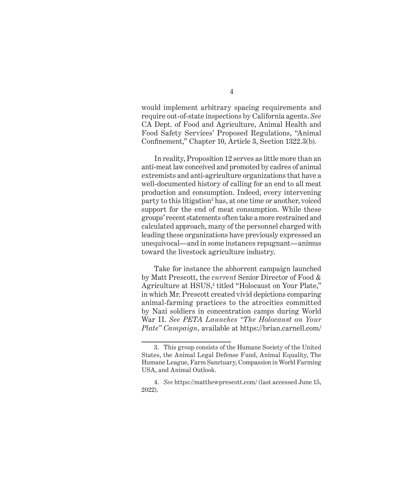would implement arbitrary spacing requirements and require out-of-state inspections by California agents. *See*  CA Dept. of Food and Agriculture, Animal Health and Food Safety Services' Proposed Regulations, "Animal Confinement," Chapter 10, Article 3, Section 1322.3(b).

In reality, Proposition 12 serves as little more than an anti-meat law conceived and promoted by cadres of animal extremists and anti-agriculture organizations that have a well-documented history of calling for an end to all meat production and consumption. Indeed, every intervening party to this litigation<sup>3</sup> has, at one time or another, voiced support for the end of meat consumption. While these groups' recent statements often take a more restrained and calculated approach, many of the personnel charged with leading these organizations have previously expressed an unequivocal—and in some instances repugnant—animus toward the livestock agriculture industry.

Take for instance the abhorrent campaign launched by Matt Prescott, the *current* Senior Director of Food & Agriculture at HSUS,<sup>4</sup> titled "Holocaust on Your Plate," in which Mr. Prescott created vivid depictions comparing animal-farming practices to the atrocities committed by Nazi soldiers in concentration camps during World War II. *See PETA Launches "The Holocaust on Your Plate" Campaign*, available at [https://brian.carnell.com/](https://brian.carnell.com/articles/2003/peta-launches-the-holocaust-on-your-plate-campaign/)

<sup>3.</sup> This group consists of the Humane Society of the United States, the Animal Legal Defense Fund, Animal Equality, The Humane League, Farm Sanctuary, Compassion in World Farming USA, and Animal Outlook.

<sup>4.</sup> *See* <https://matthewprescott.com/> (last accessed June 15, 2022).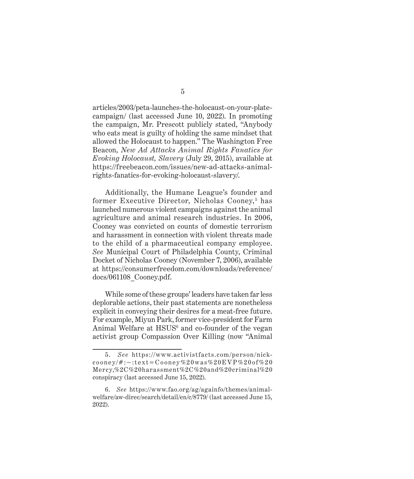[articles/2003/peta-launches-the-holocaust-on-your-plate](https://brian.carnell.com/articles/2003/peta-launches-the-holocaust-on-your-plate-campaign/)[campaign/](https://brian.carnell.com/articles/2003/peta-launches-the-holocaust-on-your-plate-campaign/) (last accessed June 10, 2022). In promoting the campaign, Mr. Prescott publicly stated, "Anybody who eats meat is guilty of holding the same mindset that allowed the Holocaust to happen." The Washington Free Beacon, *New Ad Attacks Animal Rights Fanatics for Evoking Holocaust, Slavery* (July 29, 2015), available at [https://freebeacon.com/issues/new-ad-attacks-animal](https://freebeacon.com/issues/new-ad-attacks-animal-rights-fanatics-for-evoking-holocaust-slavery/)[rights-fanatics-for-evoking-holocaust-slavery/](https://freebeacon.com/issues/new-ad-attacks-animal-rights-fanatics-for-evoking-holocaust-slavery/).

Additionally, the Humane League's founder and former Executive Director, Nicholas Cooney,<sup>5</sup> has launched numerous violent campaigns against the animal agriculture and animal research industries. In 2006, Cooney was convicted on counts of domestic terrorism and harassment in connection with violent threats made to the child of a pharmaceutical company employee. *See* Municipal Court of Philadelphia County, Criminal Docket of Nicholas Cooney (November 7, 2006), available at [https://consumerfreedom.com/downloads/reference/](https://consumerfreedom.com/downloads/reference/docs/061108_Cooney.pdf) [docs/061108\\_Cooney.pdf](https://consumerfreedom.com/downloads/reference/docs/061108_Cooney.pdf).

While some of these groups' leaders have taken far less deplorable actions, their past statements are nonetheless explicit in conveying their desires for a meat-free future. For example, Miyun Park, former vice-president for Farm Animal Welfare at HSUS<sup>6</sup> and co-founder of the vegan activist group Compassion Over Killing (now "Animal

<sup>5.</sup> *See* https://www.activistfacts.com/person/nick- $\frac{\cosh(\pi x) + \cosh(\pi x)}{\cosh(\pi x)}$  cooney%20 was%20EVP%20of%20 [Mercy,%2C%20harassment%2C%20and%20criminal%20](https://www.activistfacts.com/person/nick-cooney/#:~:text=Cooney%20was%20EVP%20of%20Mercy,%2C%20harassment%2C%20and%20criminal%20conspiracy) conspiracy (last accessed June 15, 2022).

<sup>6.</sup> *See* [https://www.fao.org/ag/againfo/themes/animal](https://www.fao.org/ag/againfo/themes/animal-welfare/aw-direc/search/detail/en/c/8779/)[welfare/aw-direc/search/detail/en/c/8779/](https://www.fao.org/ag/againfo/themes/animal-welfare/aw-direc/search/detail/en/c/8779/) (last accessed June 15, 2022).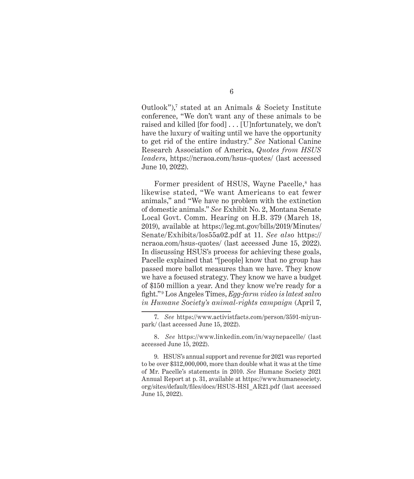Outlook"),<sup>7</sup> stated at an Animals & Society Institute conference, "We don't want any of these animals to be raised and killed [for food] . . . [U]nfortunately, we don't have the luxury of waiting until we have the opportunity to get rid of the entire industry." *See* National Canine Research Association of America, *Quotes from HSUS leaders*, <https://ncraoa.com/hsus-quotes/> (last accessed June 10, 2022).

Former president of HSUS, Wayne Pacelle,<sup>8</sup> has likewise stated, "We want Americans to eat fewer animals," and "We have no problem with the extinction of domestic animals." *See* Exhibit No. 2, Montana Senate Local Govt. Comm. Hearing on H.B. 379 (March 18, 2019), available at [https://leg.mt.gov/bills/2019/Minutes/](https://leg.mt.gov/bills/2019/Minutes/Senate/Exhibits/los55a02.pdf%20at%2011) [Senate/Exhibits/los55a02.pdf at 11](https://leg.mt.gov/bills/2019/Minutes/Senate/Exhibits/los55a02.pdf%20at%2011). *See also* [https://](https://ncraoa.com/hsus-quotes/) [ncraoa.com/hsus-quotes/](https://ncraoa.com/hsus-quotes/) (last accessed June 15, 2022). In discussing HSUS's process for achieving these goals, Pacelle explained that "[people] know that no group has passed more ballot measures than we have. They know we have a focused strategy. They know we have a budget of \$150 million a year. And they know we're ready for a fight." <sup>9</sup> Los Angeles Times, *Egg-farm video is latest salvo in Humane Society's animal-rights campaign* (April 7,

<sup>7.</sup> *See* [https://www.activistfacts.com/person/3591-miyun](https://www.activistfacts.com/person/3591-miyun-park/)[park/](https://www.activistfacts.com/person/3591-miyun-park/) (last accessed June 15, 2022).

<sup>8.</sup> *See* <https://www.linkedin.com/in/waynepacelle/> (last accessed June 15, 2022).

<sup>9.</sup> HSUS's annual support and revenue for 2021 was reported to be over \$312,000,000, more than double what it was at the time of Mr. Pacelle's statements in 2010. *See* Humane Society 2021 Annual Report at p. 31, available at [https://www.humanesociety.](https://www.humanesociety.org/sites/default/files/docs/HSUS-HSI_AR21.pdf) [org/sites/default/files/docs/HSUS-HSI\\_AR21.pdf](https://www.humanesociety.org/sites/default/files/docs/HSUS-HSI_AR21.pdf) (last accessed June 15, 2022).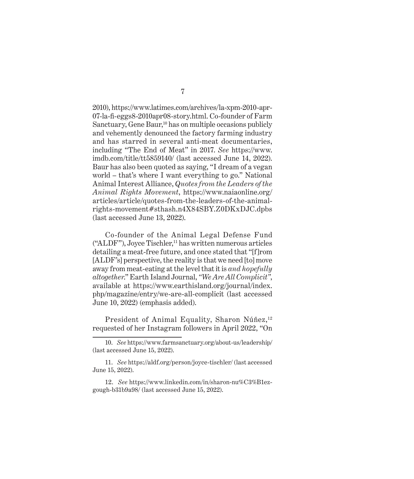2010), [https://www.latimes.com/archives/la-xpm-2010-apr-](https://www.latimes.com/archives/la-xpm-2010-apr-07-la-fi-eggs8-2010apr08-story.html)[07-la-fi-eggs8-2010apr08-story.html](https://www.latimes.com/archives/la-xpm-2010-apr-07-la-fi-eggs8-2010apr08-story.html). Co-founder of Farm Sanctuary, Gene Baur,<sup>10</sup> has on multiple occasions publicly and vehemently denounced the factory farming industry and has starred in several anti-meat documentaries, including "The End of Meat" in 2017. *See* [https://www.](https://www.imdb.com/title/tt5859140/) [imdb.com/title/tt5859140/](https://www.imdb.com/title/tt5859140/) (last accessed June 14, 2022). Baur has also been quoted as saying, "I dream of a vegan world – that's where I want everything to go." National Animal Interest Alliance, *Quotes from the Leaders of the Animal Rights Movement*, https://www.naiaonline.org/ articles/article/quotes-from-the-leaders-of-the-animalrights-movement#sthash.n4X84SBY.Z0DKxDJC.dpbs (last accessed June 13, 2022).

Co-founder of the Animal Legal Defense Fund  $("ALDF")$ , Joyce Tischler,<sup>11</sup> has written numerous articles detailing a meat-free future, and once stated that "[f]rom [ALDF's] perspective, the reality is that we need [to] move away from meat-eating at the level that it is *and hopefully altogether*." Earth Island Journal, *"We Are All Complicit"*, available at [https://www.earthisland.org/journal/index.](https://www.earthisland.org/journal/index.php/magazine/entry/we-are-all-complicit) [php/magazine/entry/we-are-all-complicit](https://www.earthisland.org/journal/index.php/magazine/entry/we-are-all-complicit) (last accessed June 10, 2022) (emphasis added).

President of Animal Equality, Sharon Núñez,<sup>12</sup> requested of her Instagram followers in April 2022, "On

<sup>10.</sup> *See* <https://www.farmsanctuary.org/about-us/leadership/> (last accessed June 15, 2022).

<sup>11.</sup> *See* <https://aldf.org/person/joyce-tischler/> (last accessed June 15, 2022).

<sup>12.</sup> *See* [https://www.linkedin.com/in/sharon-nu%C3%B1ez](https://www.linkedin.com/in/sharon-nu%C3%B1ez-gough-b31b9a98/)[gough-b31b9a98/](https://www.linkedin.com/in/sharon-nu%C3%B1ez-gough-b31b9a98/) (last accessed June 15, 2022).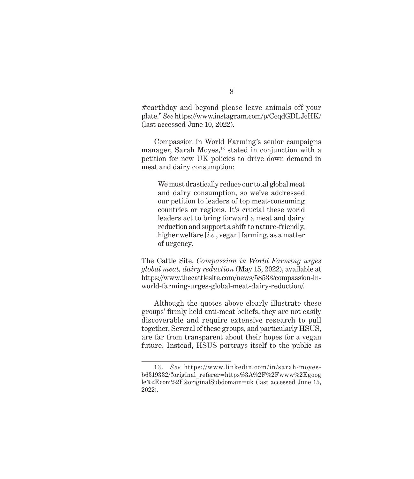#earthday and beyond please leave animals off your plate." *See* <https://www.instagram.com/p/CcqdGDLJcHK/> (last accessed June 10, 2022).

Compassion in World Farming's senior campaigns manager, Sarah Moyes, $13$  stated in conjunction with a petition for new UK policies to drive down demand in meat and dairy consumption:

We must drastically reduce our total global meat and dairy consumption, so we've addressed our petition to leaders of top meat-consuming countries or regions. It's crucial these world leaders act to bring forward a meat and dairy reduction and support a shift to nature-friendly, higher welfare [*i.e.*, vegan] farming, as a matter of urgency.

The Cattle Site, *Compassion in World Farming urges global meat, dairy reduction* (May 15, 2022), available at [https://www.thecattlesite.com/news/58533/compassion-in](https://www.thecattlesite.com/news/58533/compassion-in-world-farming-urges-global-meat-dairy-reduction/)[world-farming-urges-global-meat-dairy-reduction/](https://www.thecattlesite.com/news/58533/compassion-in-world-farming-urges-global-meat-dairy-reduction/).

Although the quotes above clearly illustrate these groups' firmly held anti-meat beliefs, they are not easily discoverable and require extensive research to pull together. Several of these groups, and particularly HSUS, are far from transparent about their hopes for a vegan future. Instead, HSUS portrays itself to the public as

<sup>13.</sup> *See* [https://www.linkedin.com/in/sarah-moyes](https://www.linkedin.com/in/sarah-moyes-b6319332/?original_referer=https%3A%2F%2Fwww%2Egoogle%2Ecom%2F&originalSubdomain=uk)[b6319332/?original\\_referer=https%3A%2F%2Fwww%2Egoog](https://www.linkedin.com/in/sarah-moyes-b6319332/?original_referer=https%3A%2F%2Fwww%2Egoogle%2Ecom%2F&originalSubdomain=uk) [le%2Ecom%2F&originalSubdomain=uk](https://www.linkedin.com/in/sarah-moyes-b6319332/?original_referer=https%3A%2F%2Fwww%2Egoogle%2Ecom%2F&originalSubdomain=uk) (last accessed June 15, 2022).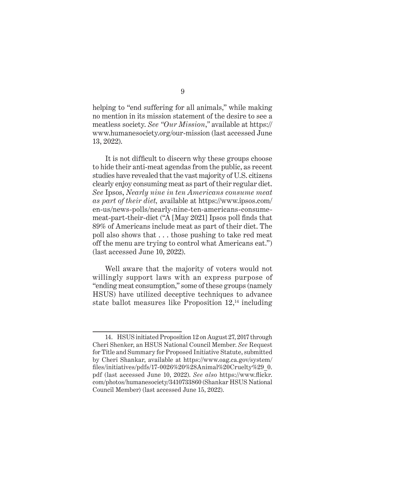helping to "end suffering for all animals," while making no mention in its mission statement of the desire to see a meatless society. *See "Our Mission*,*"* available at [https://](https://www.humanesociety.org/our-mission) [www.humanesociety.org/our-mission](https://www.humanesociety.org/our-mission) (last accessed June 13, 2022).

It is not difficult to discern why these groups choose to hide their anti-meat agendas from the public, as recent studies have revealed that the vast majority of U.S. citizens clearly enjoy consuming meat as part of their regular diet. *See* Ipsos, *Nearly nine in ten Americans consume meat as part of their diet,* available at [https://www.ipsos.com/](https://www.ipsos.com/en-us/news-polls/nearly-nine-ten-americans-consume-meat-part-their-diet) [en-us/news-polls/nearly-nine-ten-americans-consume](https://www.ipsos.com/en-us/news-polls/nearly-nine-ten-americans-consume-meat-part-their-diet)[meat-part-their-diet](https://www.ipsos.com/en-us/news-polls/nearly-nine-ten-americans-consume-meat-part-their-diet) ("A [May 2021] Ipsos poll finds that 89% of Americans include meat as part of their diet. The poll also shows that . . . those pushing to take red meat off the menu are trying to control what Americans eat.") (last accessed June 10, 2022).

Well aware that the majority of voters would not willingly support laws with an express purpose of "ending meat consumption," some of these groups (namely HSUS) have utilized deceptive techniques to advance state ballot measures like Proposition  $12<sup>14</sup>$  including

<sup>14.</sup> HSUS initiated Proposition 12 on August 27, 2017 through Cheri Shenker, an HSUS National Council Member. *See* Request for Title and Summary for Proposed Initiative Statute, submitted by Cheri Shankar, available at [https://www.oag.ca.gov/system/](https://www.oag.ca.gov/system/files/‌initiatives/pdfs/17-0026%20%28Animal%20Cruelty%29_0.pdf) [files/initiatives/pdfs/17-0026%20%28Animal%20Cruelty%29\\_0.](https://www.oag.ca.gov/system/files/‌initiatives/pdfs/17-0026%20%28Animal%20Cruelty%29_0.pdf) [pdf](https://www.oag.ca.gov/system/files/‌initiatives/pdfs/17-0026%20%28Animal%20Cruelty%29_0.pdf) (last accessed June 10, 2022). *See also* [https://www.flickr.](https://www.flickr.com/photos/humanesociety/3410733860) [com/photos/humanesociety/3410733860](https://www.flickr.com/photos/humanesociety/3410733860) (Shankar HSUS National Council Member) (last accessed June 15, 2022).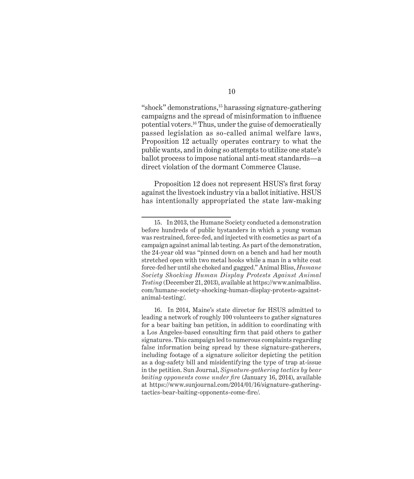"shock" demonstrations,15 harassing signature-gathering campaigns and the spread of misinformation to influence potential voters.16 Thus, under the guise of democratically passed legislation as so-called animal welfare laws, Proposition 12 actually operates contrary to what the public wants, and in doing so attempts to utilize one state's ballot process to impose national anti-meat standards—a direct violation of the dormant Commerce Clause.

Proposition 12 does not represent HSUS's first foray against the livestock industry via a ballot initiative. HSUS has intentionally appropriated the state law-making

<sup>15.</sup> In 2013, the Humane Society conducted a demonstration before hundreds of public bystanders in which a young woman was restrained, force-fed, and injected with cosmetics as part of a campaign against animal lab testing. As part of the demonstration, the 24-year old was "pinned down on a bench and had her mouth stretched open with two metal hooks while a man in a white coat force-fed her until she choked and gagged." Animal Bliss, *Humane Society Shocking Human Display Protests Against Animal Testing* (December 21, 2013), available at [https://www.animalbliss.](https://www.animalbliss‌.com/humane-society-shocking-human-display-protests-against-animal-testing/) [com/humane-society-shocking-human-display-protests-against](https://www.animalbliss‌.com/humane-society-shocking-human-display-protests-against-animal-testing/)[animal-testing/.](https://www.animalbliss‌.com/humane-society-shocking-human-display-protests-against-animal-testing/)

<sup>16.</sup> In 2014, Maine's state director for HSUS admitted to leading a network of roughly 100 volunteers to gather signatures for a bear baiting ban petition, in addition to coordinating with a Los Angeles-based consulting firm that paid others to gather signatures. This campaign led to numerous complaints regarding false information being spread by these signature-gatherers, including footage of a signature solicitor depicting the petition as a dog-safety bill and misidentifying the type of trap at-issue in the petition. Sun Journal, *Signature-gathering tactics by bear baiting opponents come under fire* (January 16, 2014), available at [https://www.sunjournal.com/2014/01/16/signature-gathering](https://www.sunjournal.com/2014/01/16/signature-gathering-tactics-bear-baiting-opponents-come-fire/)[tactics-bear-baiting-opponents-come-fire/](https://www.sunjournal.com/2014/01/16/signature-gathering-tactics-bear-baiting-opponents-come-fire/).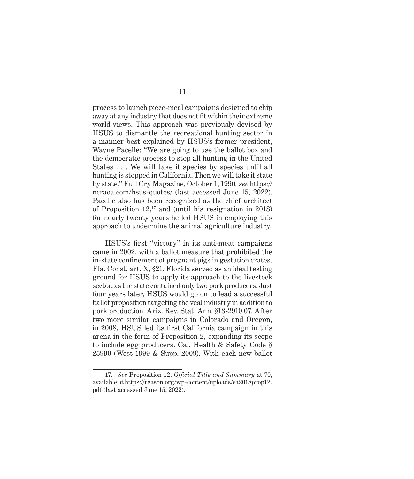process to launch piece-meal campaigns designed to chip away at any industry that does not fit within their extreme world-views. This approach was previously devised by HSUS to dismantle the recreational hunting sector in a manner best explained by HSUS's former president, Wayne Pacelle: "We are going to use the ballot box and the democratic process to stop all hunting in the United States . . . We will take it species by species until all hunting is stopped in California. Then we will take it state by state." Full Cry Magazine, October 1, 1990*, see* [https://](https://ncraoa.com‌/hsus-quotes/) [ncraoa.com/hsus-quotes/](https://ncraoa.com‌/hsus-quotes/) (last accessed June 15, 2022). Pacelle also has been recognized as the chief architect of Proposition  $12<sup>17</sup>$  and (until his resignation in 2018) for nearly twenty years he led HSUS in employing this approach to undermine the animal agriculture industry.

HSUS's first "victory" in its anti-meat campaigns came in 2002, with a ballot measure that prohibited the in-state confinement of pregnant pigs in gestation crates. Fla. Const. art. X, §21. Florida served as an ideal testing ground for HSUS to apply its approach to the livestock sector, as the state contained only two pork producers. Just four years later, HSUS would go on to lead a successful ballot proposition targeting the veal industry in addition to pork production. Ariz. Rev. Stat. Ann. §13-2910.07. After two more similar campaigns in Colorado and Oregon, in 2008, HSUS led its first California campaign in this arena in the form of Proposition 2, expanding its scope to include egg producers. Cal. Health & Safety Code § 25990 (West 1999 & Supp. 2009). With each new ballot

<sup>17.</sup> *See* Proposition 12, *Official Title and Summary* at 70, available at [https://reason.org/wp-content/uploads/ca2018prop12.](https://reason.org/wp-content/uploads/ca2018prop12.pdf) [pdf](https://reason.org/wp-content/uploads/ca2018prop12.pdf) (last accessed June 15, 2022).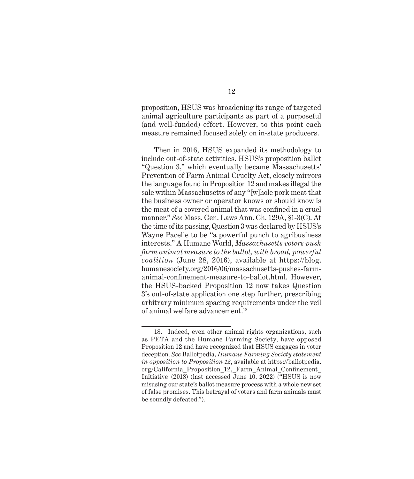proposition, HSUS was broadening its range of targeted animal agriculture participants as part of a purposeful (and well-funded) effort. However, to this point each measure remained focused solely on in-state producers.

Then in 2016, HSUS expanded its methodology to include out-of-state activities. HSUS's proposition ballet "Question 3," which eventually became Massachusetts' Prevention of Farm Animal Cruelty Act, closely mirrors the language found in Proposition 12 and makes illegal the sale within Massachusetts of any "[w]hole pork meat that the business owner or operator knows or should know is the meat of a covered animal that was confined in a cruel manner." *See* Mass. Gen. Laws Ann. Ch. 129A, §1-3(C). At the time of its passing, Question 3 was declared by HSUS's Wayne Pacelle to be "a powerful punch to agribusiness interests." A Humane World, *Massachusetts voters push farm animal measure to the ballot, with broad, powerful coalition* (June 28, 2016), available at [https://blog.](https://blog.humanesociety.org/2016/06/massachusetts-pushes-farm-animal-confinement-measure-to-ballot.html) [humanesociety.org/2016/06/massachusetts-pushes-farm](https://blog.humanesociety.org/2016/06/massachusetts-pushes-farm-animal-confinement-measure-to-ballot.html)[animal-confinement-measure-to-ballot.html](https://blog.humanesociety.org/2016/06/massachusetts-pushes-farm-animal-confinement-measure-to-ballot.html). However, the HSUS-backed Proposition 12 now takes Question 3's out-of-state application one step further, prescribing arbitrary minimum spacing requirements under the veil of animal welfare advancement.<sup>18</sup>

<sup>18.</sup> Indeed, even other animal rights organizations, such as PETA and the Humane Farming Society, have opposed Proposition 12 and have recognized that HSUS engages in voter deception. *See* Ballotpedia, *Humane Farming Society statement in opposition to Proposition 12*, available at [https://ballotpedia.](https://ballotpedia.org/California_Proposition_12,_Farm_Animal_Confinement_Initiative_(2018)) [org/California\\_Proposition\\_12,\\_Farm\\_Animal\\_Confinement\\_](https://ballotpedia.org/California_Proposition_12,_Farm_Animal_Confinement_Initiative_(2018)) Initiative (2018) (last accessed June 10, 2022) ("HSUS is now misusing our state's ballot measure process with a whole new set of false promises. This betrayal of voters and farm animals must be soundly defeated.").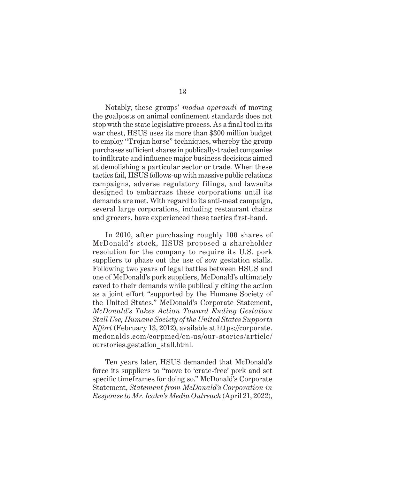Notably, these groups' *modus operandi* of moving the goalposts on animal confinement standards does not stop with the state legislative process. As a final tool in its war chest, HSUS uses its more than \$300 million budget to employ "Trojan horse" techniques, whereby the group purchases sufficient shares in publically-traded companies to infiltrate and influence major business decisions aimed at demolishing a particular sector or trade. When these tactics fail, HSUS follows-up with massive public relations campaigns, adverse regulatory filings, and lawsuits designed to embarrass these corporations until its demands are met. With regard to its anti-meat campaign, several large corporations, including restaurant chains and grocers, have experienced these tactics first-hand.

In 2010, after purchasing roughly 100 shares of McDonald's stock, HSUS proposed a shareholder resolution for the company to require its U.S. pork suppliers to phase out the use of sow gestation stalls. Following two years of legal battles between HSUS and one of McDonald's pork suppliers, McDonald's ultimately caved to their demands while publically citing the action as a joint effort "supported by the Humane Society of the United States." McDonald's Corporate Statement, *McDonald's Takes Action Toward Ending Gestation Stall Use; Humane Society of the United States Supports Effort* (February 13, 2012), available at [https://corporate.](https://corporate.mcdonalds.com/corpmcd/en-us/our-stories/article/ourstories.gestation_stall.html) [mcdonalds.com/corpmcd/en-us/our-stories/article/](https://corporate.mcdonalds.com/corpmcd/en-us/our-stories/article/ourstories.gestation_stall.html) [ourstories.gestation\\_stall.html](https://corporate.mcdonalds.com/corpmcd/en-us/our-stories/article/ourstories.gestation_stall.html).

Ten years later, HSUS demanded that McDonald's force its suppliers to "move to 'crate-free' pork and set specific timeframes for doing so." McDonald's Corporate Statement, *Statement from McDonald's Corporation in Response to Mr. Icahn's Media Outreach* (April 21, 2022),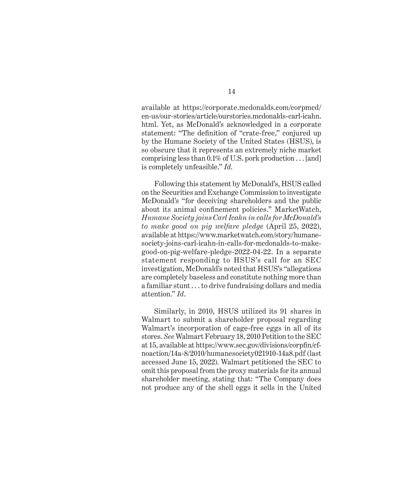available at [https://corporate.mcdonalds.com/corpmcd/](https://corporate.mcdonalds.com/corpmcd/en-us/our-stories/article/ourstories.mcdonalds-carl-icahn.html) [en-us/our-stories/article/ourstories.mcdonalds-carl-icahn.](https://corporate.mcdonalds.com/corpmcd/en-us/our-stories/article/ourstories.mcdonalds-carl-icahn.html) [html](https://corporate.mcdonalds.com/corpmcd/en-us/our-stories/article/ourstories.mcdonalds-carl-icahn.html). Yet, as McDonald's acknowledged in a corporate statement: "The definition of "crate-free," conjured up by the Humane Society of the United States (HSUS), is so obscure that it represents an extremely niche market comprising less than  $0.1\%$  of U.S. pork production  $\dots$  [and] is completely unfeasible." *Id.*

Following this statement by McDonald's, HSUS called on the Securities and Exchange Commission to investigate McDonald's "for deceiving shareholders and the public about its animal confinement policies." MarketWatch, *Humane Society joins Carl Icahn in calls for McDonald's to make good on pig welfare pledge* (April 25, 2022), available at [https://www.marketwatch.com/story/humane](https://www.marketwatch.com/story/humane-society-joins-carl-icahn-in-calls-for-mcdonalds-to-make-good-on-pig-welfare-pledge-2022-04-22)[society-joins-carl-icahn-in-calls-for-mcdonalds-to-make](https://www.marketwatch.com/story/humane-society-joins-carl-icahn-in-calls-for-mcdonalds-to-make-good-on-pig-welfare-pledge-2022-04-22)[good-on-pig-welfare-pledge-2022-04-22](https://www.marketwatch.com/story/humane-society-joins-carl-icahn-in-calls-for-mcdonalds-to-make-good-on-pig-welfare-pledge-2022-04-22). In a separate statement responding to HSUS's call for an SEC investigation, McDonald's noted that HSUS's "allegations are completely baseless and constitute nothing more than a familiar stunt . . . to drive fundraising dollars and media attention." *Id*.

Similarly, in 2010, HSUS utilized its 91 shares in Walmart to submit a shareholder proposal regarding Walmart's incorporation of cage-free eggs in all of its stores. *See* Walmart February 18, 2010 Petition to the SEC at 15, available at [https://www.sec.gov/divisions/corpfin/cf](https://www.sec.gov/divisions/corpfin/cf-noaction/14a-8/2010/humanesociety021910-14a8.pdf)[noaction/14a-8/2010/humanesociety021910-14a8.pdf](https://www.sec.gov/divisions/corpfin/cf-noaction/14a-8/2010/humanesociety021910-14a8.pdf) (last accessed June 15, 2022). Walmart petitioned the SEC to omit this proposal from the proxy materials for its annual shareholder meeting, stating that: "The Company does not produce any of the shell eggs it sells in the United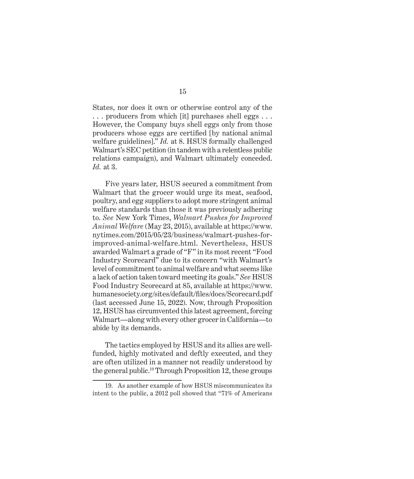States, nor does it own or otherwise control any of the . . . producers from which [it] purchases shell eggs . . . However, the Company buys shell eggs only from those producers whose eggs are certified [by national animal welfare guidelines]." *Id.* at 8. HSUS formally challenged Walmart's SEC petition (in tandem with a relentless public relations campaign), and Walmart ultimately conceded. *Id.* at 3.

Five years later, HSUS secured a commitment from Walmart that the grocer would urge its meat, seafood, poultry, and egg suppliers to adopt more stringent animal welfare standards than those it was previously adhering to. *See* New York Times, *Walmart Pushes for Improved Animal Welfare* (May 23, 2015), available at [https://www.](https://www.n‌ytimes.com/2015/05/23/business/walmart-pushes-for-improved-animal‌-welfare.html) [nytimes.com/2015/05/23/business/walmart-pushes-for](https://www.n‌ytimes.com/2015/05/23/business/walmart-pushes-for-improved-animal‌-welfare.html)[improved-animal-welfare.html](https://www.n‌ytimes.com/2015/05/23/business/walmart-pushes-for-improved-animal‌-welfare.html). Nevertheless, HSUS awarded Walmart a grade of "F" in its most recent "Food Industry Scorecard" due to its concern "with Walmart's level of commitment to animal welfare and what seems like a lack of action taken toward meeting its goals." *See* HSUS Food Industry Scorecard at 85, available at [https://www.](https://www.humanesociety.org/sites/default/files/docs/Scorecard.pdf) [humanesociety.org/sites/default/files/docs/Scorecard.pdf](https://www.humanesociety.org/sites/default/files/docs/Scorecard.pdf) (last accessed June 15, 2022). Now, through Proposition 12, HSUS has circumvented this latest agreement, forcing Walmart—along with every other grocer in California—to abide by its demands.

The tactics employed by HSUS and its allies are wellfunded, highly motivated and deftly executed, and they are often utilized in a manner not readily understood by the general public.19 Through Proposition 12, these groups

<sup>19.</sup> As another example of how HSUS miscommunicates its intent to the public, a 2012 poll showed that "71% of Americans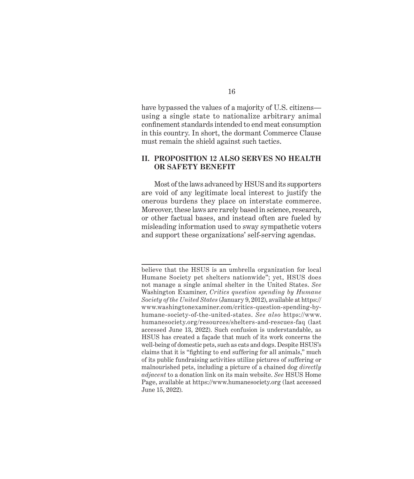<span id="page-27-0"></span>have bypassed the values of a majority of U.S. citizens using a single state to nationalize arbitrary animal confinement standards intended to end meat consumption in this country. In short, the dormant Commerce Clause must remain the shield against such tactics.

#### **II. PROPOSITION 12 ALSO SERVES NO HEALTH OR SAFETY BENEFIT**

Most of the laws advanced by HSUS and its supporters are void of any legitimate local interest to justify the onerous burdens they place on interstate commerce. Moreover, these laws are rarely based in science, research, or other factual bases, and instead often are fueled by misleading information used to sway sympathetic voters and support these organizations' self-serving agendas.

16

believe that the HSUS is an umbrella organization for local Humane Society pet shelters nationwide"; yet, HSUS does not manage a single animal shelter in the United States. *See* Washington Examiner, *Critics question spending by Humane Society of the United States* (January 9, 2012), available at [https://](https://www.washingtonexaminer.com/critics-question-spending-by-humane-society-of-the-united-states) [www.washingtonexaminer.com/critics-question-spending-by](https://www.washingtonexaminer.com/critics-question-spending-by-humane-society-of-the-united-states)[humane-society-of-the-united-states](https://www.washingtonexaminer.com/critics-question-spending-by-humane-society-of-the-united-states). *See also* [https://www.](https://www.humanesociety.org/‌resources/shelters-and-rescues-faq) [humanesociety.org/resources/shelters-and-rescues-faq](https://www.humanesociety.org/‌resources/shelters-and-rescues-faq) (last accessed June 13, 2022). Such confusion is understandable, as HSUS has created a façade that much of its work concerns the well-being of domestic pets, such as cats and dogs. Despite HSUS's claims that it is "fighting to end suffering for all animals," much of its public fundraising activities utilize pictures of suffering or malnourished pets, including a picture of a chained dog *directly adjacent* to a donation link on its main website. *See* HSUS Home Page, available at <https://www.humanesociety.org> (last accessed June 15, 2022).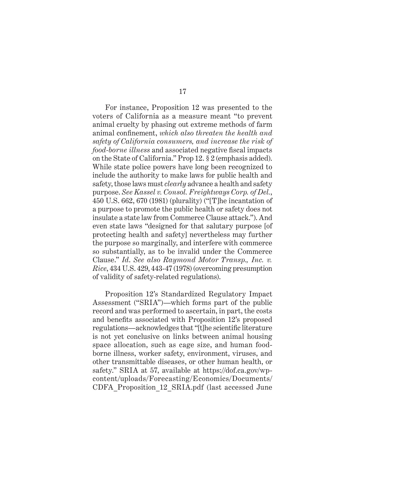For instance, Proposition 12 was presented to the voters of California as a measure meant "to prevent animal cruelty by phasing out extreme methods of farm animal confinement, *which also threaten the health and safety of California consumers, and increase the risk of food-borne illness* and associated negative fiscal impacts on the State of California." Prop 12. § 2 (emphasis added). While state police powers have long been recognized to include the authority to make laws for public health and safety, those laws must *clearly* advance a health and safety purpose. *See Kassel v. Consol. Freightways Corp. of Del.*, 450 U.S. 662, 670 (1981) (plurality) ("[T]he incantation of a purpose to promote the public health or safety does not insulate a state law from Commerce Clause attack."). And even state laws "designed for that salutary purpose [of protecting health and safety] nevertheless may further the purpose so marginally, and interfere with commerce so substantially, as to be invalid under the Commerce Clause." *Id*. *See also Raymond Motor Transp., Inc. v. Rice*, 434 U.S. 429, 443-47 (1978) (overcoming presumption of validity of safety-related regulations).

Proposition 12's Standardized Regulatory Impact Assessment ("SRIA")—which forms part of the public record and was performed to ascertain, in part, the costs and benefits associated with Proposition 12's proposed regulations—acknowledges that "[t]he scientific literature is not yet conclusive on links between animal housing space allocation, such as cage size, and human foodborne illness, worker safety, environment, viruses, and other transmittable diseases, or other human health, or safety." SRIA at 57, available at [https://dof.ca.gov/wp](https://dof.ca.gov/wp-c‌ontent/uploads/Forecasting/Economics/Documents/CDFA_Proposition_12_SRIA.pdf)[content/uploads/Forecasting/Economics/Documents/](https://dof.ca.gov/wp-c‌ontent/uploads/Forecasting/Economics/Documents/CDFA_Proposition_12_SRIA.pdf) [CDFA\\_Proposition\\_12\\_SRIA.pdf](https://dof.ca.gov/wp-c‌ontent/uploads/Forecasting/Economics/Documents/CDFA_Proposition_12_SRIA.pdf) (last accessed June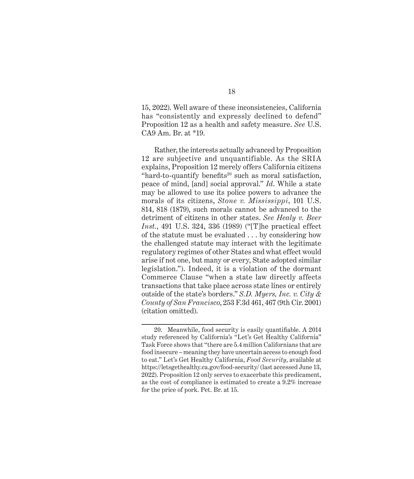15, 2022). Well aware of these inconsistencies, California has "consistently and expressly declined to defend" Proposition 12 as a health and safety measure. *See* U.S. CA9 Am. Br. at \*19.

Rather, the interests actually advanced by Proposition 12 are subjective and unquantifiable. As the SRIA explains, Proposition 12 merely offers California citizens "hard-to-quantify benefits<sup>20</sup> such as moral satisfaction, peace of mind, [and] social approval." *Id*. While a state may be allowed to use its police powers to advance the morals of its citizens, *Stone v. Mississippi*, 101 U.S. 814, 818 (1879), such morals cannot be advanced to the detriment of citizens in other states. *See Healy v. Beer Inst.*, 491 U.S. 324, 336 (1989) ("[T]he practical effect of the statute must be evaluated . . . by considering how the challenged statute may interact with the legitimate regulatory regimes of other States and what effect would arise if not one, but many or every, State adopted similar legislation."). Indeed, it is a violation of the dormant Commerce Clause "when a state law directly affects transactions that take place across state lines or entirely outside of the state's borders." *S.D. Myers, Inc. v. City & County of San Francisco*, 253 F.3d 461, 467 (9th Cir. 2001) (citation omitted).

<sup>20.</sup> Meanwhile, food security is easily quantifiable. A 2014 study referenced by California's "Let's Get Healthy California" Task Force shows that "there are 5.4 million Californians that are food insecure – meaning they have uncertain access to enough food to eat." Let's Get Healthy California, *Food Security*, available at <https://letsgethealthy.ca.gov/food-security/> (last accessed June 13, 2022). Proposition 12 only serves to exacerbate this predicament, as the cost of compliance is estimated to create a 9.2% increase for the price of pork. Pet. Br. at 15.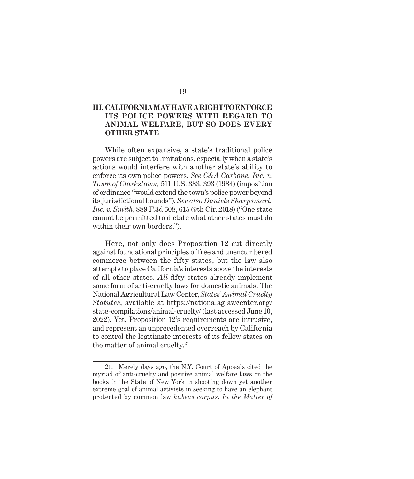#### <span id="page-30-0"></span>**III. CALIFORNIA MAY HAVE A RIGHT TO ENFORCE ITS POLICE POWERS WITH REGARD TO ANIMAL WELFARE, BUT SO DOES EVERY OTHER STATE**

While often expansive, a state's traditional police powers are subject to limitations, especially when a state's actions would interfere with another state's ability to enforce its own police powers. *See C&A Carbone, Inc. v. Town of Clarkstown,* 511 U.S. 383, 393 (1984) (imposition of ordinance "would extend the town's police power beyond its jurisdictional bounds"). *See also Daniels Sharpsmart, Inc. v. Smith*, 889 F.3d 608, 615 (9th Cir. 2018) ("One state cannot be permitted to dictate what other states must do within their own borders.").

Here, not only does Proposition 12 cut directly against foundational principles of free and unencumbered commerce between the fifty states, but the law also attempts to place California's interests above the interests of all other states. *All* fifty states already implement some form of anti-cruelty laws for domestic animals. The National Agricultural Law Center, *States' Animal Cruelty Statutes*, available at [https://nationalaglawcenter.org/](https://nationalaglawcenter.org/state-compilations/animal-cruelty/) [state-compilations/animal-cruelty/](https://nationalaglawcenter.org/state-compilations/animal-cruelty/) (last accessed June 10, 2022). Yet, Proposition 12's requirements are intrusive, and represent an unprecedented overreach by California to control the legitimate interests of its fellow states on the matter of animal cruelty. $21$ 

<sup>21.</sup> Merely days ago, the N.Y. Court of Appeals cited the myriad of anti-cruelty and positive animal welfare laws on the books in the State of New York in shooting down yet another extreme goal of animal activists in seeking to have an elephant protected by common law *habeas corpus*. *In the Matter of*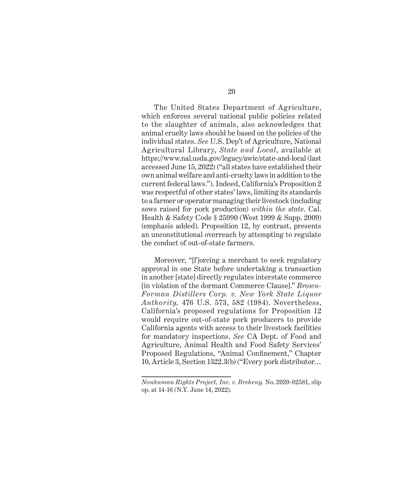The United States Department of Agriculture, which enforces several national public policies related to the slaughter of animals, also acknowledges that animal cruelty laws should be based on the policies of the individual states. *See* U.S. Dep't of Agriculture, National Agricultural Library, *State and Local*, available at <https://www.nal.usda.gov/legacy/awic/state-and-local>(last accessed June 15, 2022) ("all states have established their own animal welfare and anti-cruelty laws in addition to the current federal laws."). Indeed, California's Proposition 2 was respectful of other states' laws, limiting its standards to a farmer or operator managing their livestock (including sows raised for pork production) *within the state*. Cal. Health & Safety Code § 25990 (West 1999 & Supp. 2009) (emphasis added). Proposition 12, by contrast, presents an unconstitutional overreach by attempting to regulate the conduct of out-of-state farmers.

Moreover, "[f]orcing a merchant to seek regulatory approval in one State before undertaking a transaction in another [state] directly regulates interstate commerce [in violation of the dormant Commerce Clause]." *Brown-Forman Distillers Corp. v. New York State Liquor Authority,* 476 U.S. 573, 582 (1984). Nevertheless, California's proposed regulations for Proposition 12 would require out-of-state pork producers to provide California agents with access to their livestock facilities for mandatory inspections. *See* CA Dept. of Food and Agriculture, Animal Health and Food Safety Services' Proposed Regulations, "Animal Confinement," Chapter 10, Article 3, Section 1322.3(b) ("Every pork distributor…

*Nonhuman Rights Project, Inc. v. Breheny,* No. 2020-02581, slip op. at 14-16 (N.Y. June 14, 2022).